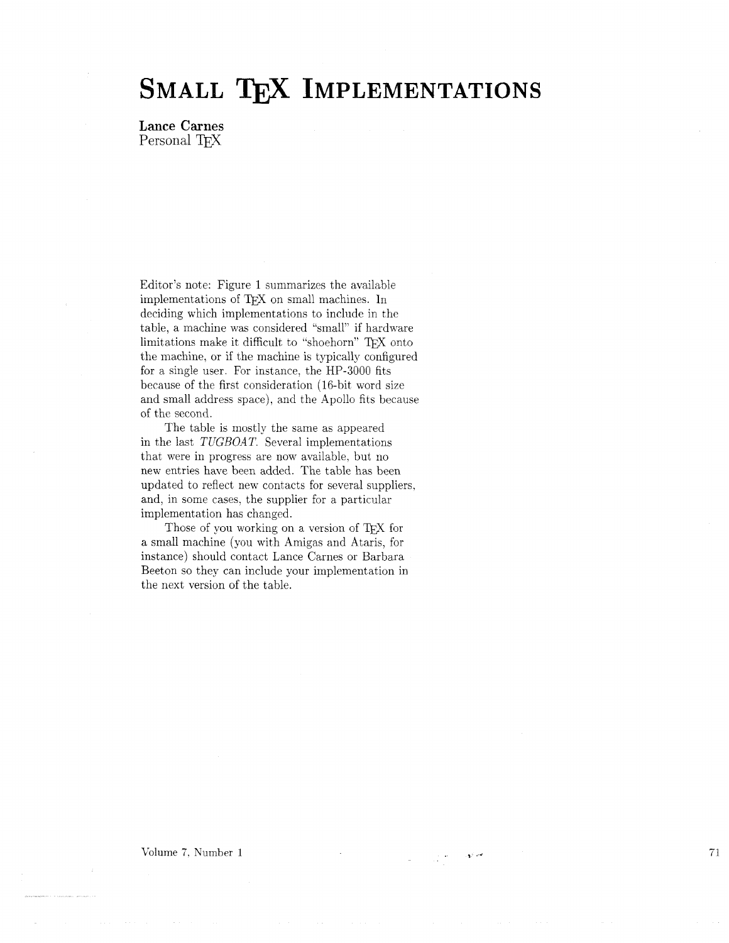## SMALL TEX IMPLEMENTATIONS

**Lance Carnes**  Personal T<sub>F</sub>X

Editor's note: Figure 1 summarizes the available implementations of TFX on small machines. In deciding which implementations to include in the table, a machine was considered "small" if hardware limitations make it difficult to "shoehorn" TFX onto the machine, or if the machine is typically configured for a single user. For instance. the HP-3000 fits because of the first consideration (16-bit word size and small address space), and the Apollo fits because of the second.

The table is mostly the same as appeared in the last *TUGBOAT*. Several implementations that were in progress are now available, but no new entries have been added. The table has been updated to reflect new contacts for several suppliers, and, in some cases. the supplier for a particular implementation has changed.

Those of you working on a version of TFX for a small machine (you with Amigas and Ataris, for instance) should contact Lance Carnes or Barbara Beeton so they can include your implementation in the next version of the table.

Volume *7.* Number 1